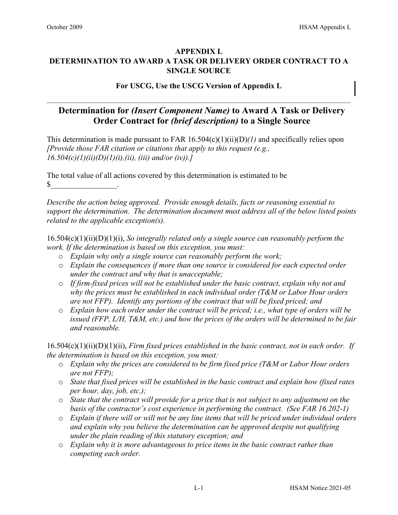### **APPENDIX L DETERMINATION TO AWARD A TASK OR DELIVERY ORDER CONTRACT TO A SINGLE SOURCE**

#### **For USCG, Use the USCG Version of Appendix L**

## **Determination for** *(Insert Component Name)* **to Award A Task or Delivery Order Contract for** *(brief description)* **to a Single Source**

This determination is made pursuant to FAR 16.504(c)(1)(ii)(D)*(1)* and specifically relies upon *[Provide those FAR citation or citations that apply to this request (e.g., 16.504(c)(1)(ii)(D)(1)(i),(ii), (iii) and/or (iv)).]*

The total value of all actions covered by this determination is estimated to be  $\mathbb{S}$ 

*Describe the action being approved. Provide enough details, facts or reasoning essential to support the determination. The determination document must address all of the below listed points related to the applicable exception(s).* 

16.504(c)(1)(ii)(D)(1)(i), *So integrally related only a single source can reasonably perform the work. If the determination is based on this exception, you must:* 

- o *Explain why only a single source can reasonably perform the work;*
- o *Explain the consequences if more than one source is considered for each expected order under the contract and why that is unacceptable;*
- o *If firm-fixed prices will not be established under the basic contract, explain why not and why the prices must be established in each individual order (T&M or Labor Hour orders are not FFP). Identify any portions of the contract that will be fixed priced; and*
- o *Explain how each order under the contract will be priced; i.e., what type of orders will be issued (FFP, L/H, T&M, etc.) and how the prices of the orders will be determined to be fair and reasonable.*

16.504(c)(1)(ii)(D)(1)(ii), *Firm fixed prices established in the basic contract, not in each order. If the determination is based on this exception, you must:* 

- o *Explain why the prices are considered to be firm fixed price (T&M or Labor Hour orders are not FFP);*
- o *State that fixed prices will be established in the basic contract and explain how (fixed rates per hour, day, job, etc.);*
- o *State that the contract will provide for a price that is not subject to any adjustment on the basis of the contractor's cost experience in performing the contract. (See FAR 16.202-1)*
- o *Explain if there will or will not be any line items that will be priced under individual orders and explain why you believe the determination can be approved despite not qualifying under the plain reading of this statutory exception; and*
- o *Explain why it is more advantageous to price items in the basic contract rather than competing each order.*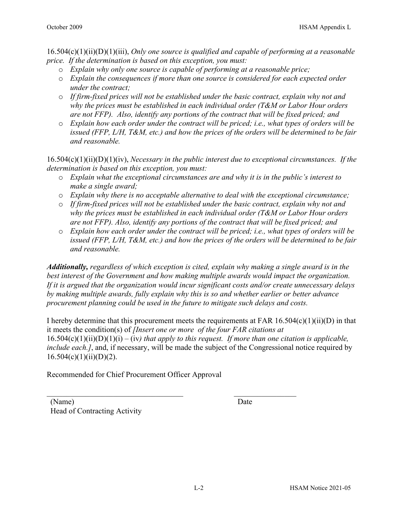16.504(c)(1)(ii)(D)(1)(iii), *Only one source is qualified and capable of performing at a reasonable price. If the determination is based on this exception, you must:* 

- o *Explain why only one source is capable of performing at a reasonable price;*
- o *Explain the consequences if more than one source is considered for each expected order under the contract;*
- o *If firm-fixed prices will not be established under the basic contract, explain why not and why the prices must be established in each individual order (T&M or Labor Hour orders are not FFP). Also, identify any portions of the contract that will be fixed priced; and*
- o *Explain how each order under the contract will be priced; i.e., what types of orders will be issued (FFP, L/H, T&M, etc.) and how the prices of the orders will be determined to be fair and reasonable.*

16.504(c)(1)(ii)(D)(1)(iv), *Necessary in the public interest due to exceptional circumstances. If the determination is based on this exception, you must:* 

- o *Explain what the exceptional circumstances are and why it is in the public's interest to make a single award;*
- o *Explain why there is no acceptable alternative to deal with the exceptional circumstance;*
- o *If firm-fixed prices will not be established under the basic contract, explain why not and why the prices must be established in each individual order (T&M or Labor Hour orders are not FFP). Also, identify any portions of the contract that will be fixed priced; and*
- o *Explain how each order under the contract will be priced; i.e., what types of orders will be issued (FFP, L/H, T&M, etc.) and how the prices of the orders will be determined to be fair and reasonable.*

*Additionally, regardless of which exception is cited, explain why making a single award is in the best interest of the Government and how making multiple awards would impact the organization. If it is argued that the organization would incur significant costs and/or create unnecessary delays by making multiple awards, fully explain why this is so and whether earlier or better advance procurement planning could be used in the future to mitigate such delays and costs.* 

I hereby determine that this procurement meets the requirements at FAR  $16.504(c)(1)(ii)(D)$  in that it meets the condition(s) of *[Insert one or more of the four FAR citations at*   $16.504(c)(1)(ii)(D)(1)(i) - (iv)$  that apply to this request. If more than one citation is applicable, *include each.]*, and, if necessary, will be made the subject of the Congressional notice required by  $16.504(c)(1)(ii)(D)(2)$ .

Recommended for Chief Procurement Officer Approval

(Name) Date Head of Contracting Activity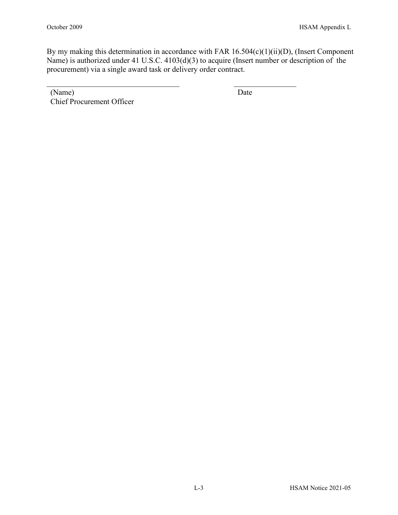By my making this determination in accordance with FAR 16.504(c)(1)(ii)(D), (Insert Component Name) is authorized under 41 U.S.C. 4103(d)(3) to acquire (Insert number or description of the procurement) via a single award task or delivery order contract.

\_\_\_\_\_\_\_\_\_\_\_\_\_\_\_\_\_\_\_\_\_\_\_\_\_\_\_\_\_\_\_\_\_\_ \_\_\_\_\_\_\_\_\_\_\_\_\_\_\_\_

(Name) Date Chief Procurement Officer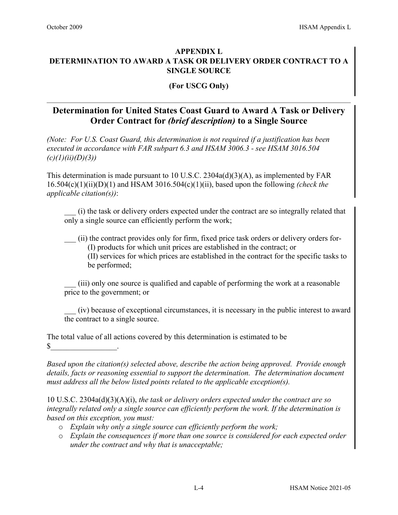### **APPENDIX L DETERMINATION TO AWARD A TASK OR DELIVERY ORDER CONTRACT TO A SINGLE SOURCE**

#### **(For USCG Only)**

# **Determination for United States Coast Guard to Award A Task or Delivery Order Contract for** *(brief description)* **to a Single Source**

*(Note: For U.S. Coast Guard, this determination is not required if a justification has been executed in accordance with FAR subpart 6.3 and HSAM 3006.3 - see HSAM 3016.504 (c)(1)(ii)(D)(3))*

This determination is made pursuant to 10 U.S.C. 2304a(d)(3)(A), as implemented by FAR 16.504(c)(1)(ii)(D)(1) and HSAM 3016.504(c)(1)(ii), based upon the following *(check the applicable citation(s))*:

\_\_\_ (i) the task or delivery orders expected under the contract are so integrally related that only a single source can efficiently perform the work;

\_\_\_ (ii) the contract provides only for firm, fixed price task orders or delivery orders for- (I) products for which unit prices are established in the contract; or (II) services for which prices are established in the contract for the specific tasks to be performed;

\_\_\_ (iii) only one source is qualified and capable of performing the work at a reasonable price to the government; or

\_\_\_ (iv) because of exceptional circumstances, it is necessary in the public interest to award the contract to a single source.

The total value of all actions covered by this determination is estimated to be  $\frac{\mathcal{S}}{\mathcal{S}}$  .

*Based upon the citation(s) selected above, describe the action being approved. Provide enough details, facts or reasoning essential to support the determination. The determination document must address all the below listed points related to the applicable exception(s).* 

10 U.S.C. 2304a(d)(3)(A)(i), *the task or delivery orders expected under the contract are so integrally related only a single source can efficiently perform the work. If the determination is based on this exception, you must:* 

- o *Explain why only a single source can efficiently perform the work;*
- o *Explain the consequences if more than one source is considered for each expected order under the contract and why that is unacceptable;*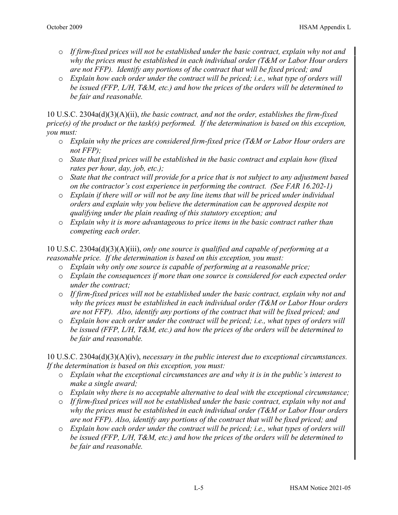- o *If firm-fixed prices will not be established under the basic contract, explain why not and why the prices must be established in each individual order (T&M or Labor Hour orders are not FFP). Identify any portions of the contract that will be fixed priced; and*
- o *Explain how each order under the contract will be priced; i.e., what type of orders will be issued (FFP, L/H, T&M, etc.) and how the prices of the orders will be determined to be fair and reasonable.*

10 U.S.C. 2304a(d)(3)(A)(ii), *the basic contract, and not the order, establishes the firm-fixed price(s) of the product or the task(s) performed. If the determination is based on this exception, you must:* 

- o *Explain why the prices are considered firm-fixed price (T&M or Labor Hour orders are not FFP);*
- o *State that fixed prices will be established in the basic contract and explain how (fixed rates per hour, day, job, etc.);*
- o *State that the contract will provide for a price that is not subject to any adjustment based on the contractor's cost experience in performing the contract. (See FAR 16.202-1)*
- o *Explain if there will or will not be any line items that will be priced under individual orders and explain why you believe the determination can be approved despite not qualifying under the plain reading of this statutory exception; and*
- o *Explain why it is more advantageous to price items in the basic contract rather than competing each order.*

10 U.S.C. 2304a(d)(3)(A)(iii), *only one source is qualified and capable of performing at a reasonable price. If the determination is based on this exception, you must:*

- o *Explain why only one source is capable of performing at a reasonable price;*
- o *Explain the consequences if more than one source is considered for each expected order under the contract;*
- o *If firm-fixed prices will not be established under the basic contract, explain why not and why the prices must be established in each individual order (T&M or Labor Hour orders are not FFP). Also, identify any portions of the contract that will be fixed priced; and*
- o *Explain how each order under the contract will be priced; i.e., what types of orders will be issued (FFP, L/H, T&M, etc.) and how the prices of the orders will be determined to be fair and reasonable.*

10 U.S.C. 2304a(d)(3)(A)(iv), *necessary in the public interest due to exceptional circumstances. If the determination is based on this exception, you must:* 

- o *Explain what the exceptional circumstances are and why it is in the public's interest to make a single award;*
- o *Explain why there is no acceptable alternative to deal with the exceptional circumstance;*
- o *If firm-fixed prices will not be established under the basic contract, explain why not and why the prices must be established in each individual order (T&M or Labor Hour orders are not FFP). Also, identify any portions of the contract that will be fixed priced; and*
- o *Explain how each order under the contract will be priced; i.e., what types of orders will be issued (FFP, L/H, T&M, etc.) and how the prices of the orders will be determined to be fair and reasonable.*